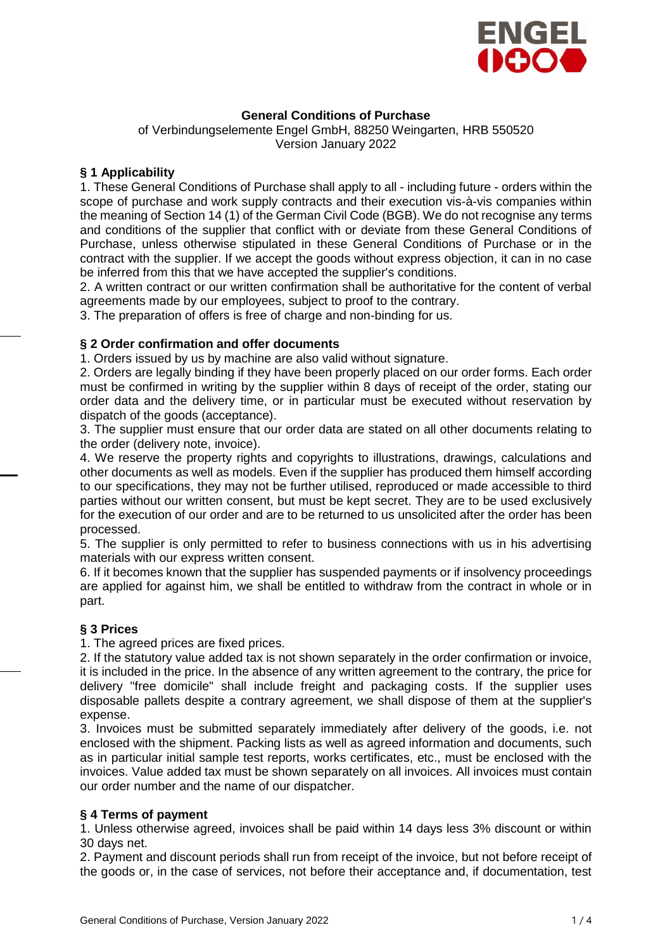

# **General Conditions of Purchase**

of Verbindungselemente Engel GmbH, 88250 Weingarten, HRB 550520 Version January 2022

## **§ 1 Applicability**

1. These General Conditions of Purchase shall apply to all - including future - orders within the scope of purchase and work supply contracts and their execution vis-à-vis companies within the meaning of Section 14 (1) of the German Civil Code (BGB). We do not recognise any terms and conditions of the supplier that conflict with or deviate from these General Conditions of Purchase, unless otherwise stipulated in these General Conditions of Purchase or in the contract with the supplier. If we accept the goods without express objection, it can in no case be inferred from this that we have accepted the supplier's conditions.

2. A written contract or our written confirmation shall be authoritative for the content of verbal agreements made by our employees, subject to proof to the contrary.

3. The preparation of offers is free of charge and non-binding for us.

### **§ 2 Order confirmation and offer documents**

1. Orders issued by us by machine are also valid without signature.

2. Orders are legally binding if they have been properly placed on our order forms. Each order must be confirmed in writing by the supplier within 8 days of receipt of the order, stating our order data and the delivery time, or in particular must be executed without reservation by dispatch of the goods (acceptance).

3. The supplier must ensure that our order data are stated on all other documents relating to the order (delivery note, invoice).

4. We reserve the property rights and copyrights to illustrations, drawings, calculations and other documents as well as models. Even if the supplier has produced them himself according to our specifications, they may not be further utilised, reproduced or made accessible to third parties without our written consent, but must be kept secret. They are to be used exclusively for the execution of our order and are to be returned to us unsolicited after the order has been processed.

5. The supplier is only permitted to refer to business connections with us in his advertising materials with our express written consent.

6. If it becomes known that the supplier has suspended payments or if insolvency proceedings are applied for against him, we shall be entitled to withdraw from the contract in whole or in part.

## **§ 3 Prices**

1. The agreed prices are fixed prices.

2. If the statutory value added tax is not shown separately in the order confirmation or invoice, it is included in the price. In the absence of any written agreement to the contrary, the price for delivery "free domicile" shall include freight and packaging costs. If the supplier uses disposable pallets despite a contrary agreement, we shall dispose of them at the supplier's expense.

3. Invoices must be submitted separately immediately after delivery of the goods, i.e. not enclosed with the shipment. Packing lists as well as agreed information and documents, such as in particular initial sample test reports, works certificates, etc., must be enclosed with the invoices. Value added tax must be shown separately on all invoices. All invoices must contain our order number and the name of our dispatcher.

#### **§ 4 Terms of payment**

1. Unless otherwise agreed, invoices shall be paid within 14 days less 3% discount or within 30 days net.

2. Payment and discount periods shall run from receipt of the invoice, but not before receipt of the goods or, in the case of services, not before their acceptance and, if documentation, test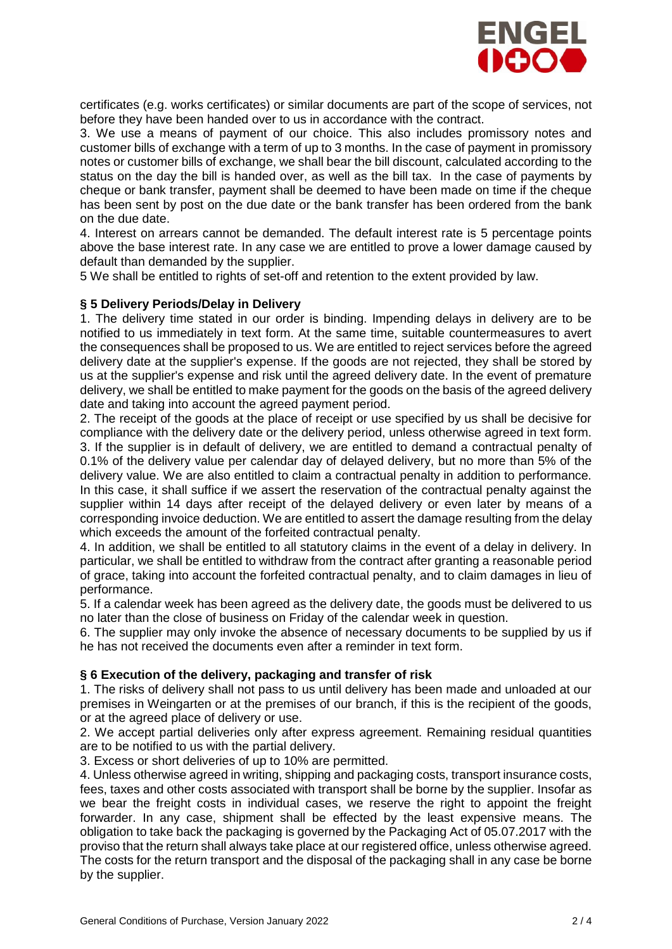

certificates (e.g. works certificates) or similar documents are part of the scope of services, not before they have been handed over to us in accordance with the contract.

3. We use a means of payment of our choice. This also includes promissory notes and customer bills of exchange with a term of up to 3 months. In the case of payment in promissory notes or customer bills of exchange, we shall bear the bill discount, calculated according to the status on the day the bill is handed over, as well as the bill tax. In the case of payments by cheque or bank transfer, payment shall be deemed to have been made on time if the cheque has been sent by post on the due date or the bank transfer has been ordered from the bank on the due date.

4. Interest on arrears cannot be demanded. The default interest rate is 5 percentage points above the base interest rate. In any case we are entitled to prove a lower damage caused by default than demanded by the supplier.

5 We shall be entitled to rights of set-off and retention to the extent provided by law.

## **§ 5 Delivery Periods/Delay in Delivery**

1. The delivery time stated in our order is binding. Impending delays in delivery are to be notified to us immediately in text form. At the same time, suitable countermeasures to avert the consequences shall be proposed to us. We are entitled to reject services before the agreed delivery date at the supplier's expense. If the goods are not rejected, they shall be stored by us at the supplier's expense and risk until the agreed delivery date. In the event of premature delivery, we shall be entitled to make payment for the goods on the basis of the agreed delivery date and taking into account the agreed payment period.

2. The receipt of the goods at the place of receipt or use specified by us shall be decisive for compliance with the delivery date or the delivery period, unless otherwise agreed in text form. 3. If the supplier is in default of delivery, we are entitled to demand a contractual penalty of 0.1% of the delivery value per calendar day of delayed delivery, but no more than 5% of the delivery value. We are also entitled to claim a contractual penalty in addition to performance. In this case, it shall suffice if we assert the reservation of the contractual penalty against the supplier within 14 days after receipt of the delayed delivery or even later by means of a corresponding invoice deduction. We are entitled to assert the damage resulting from the delay which exceeds the amount of the forfeited contractual penalty.

4. In addition, we shall be entitled to all statutory claims in the event of a delay in delivery. In particular, we shall be entitled to withdraw from the contract after granting a reasonable period of grace, taking into account the forfeited contractual penalty, and to claim damages in lieu of performance.

5. If a calendar week has been agreed as the delivery date, the goods must be delivered to us no later than the close of business on Friday of the calendar week in question.

6. The supplier may only invoke the absence of necessary documents to be supplied by us if he has not received the documents even after a reminder in text form.

#### **§ 6 Execution of the delivery, packaging and transfer of risk**

1. The risks of delivery shall not pass to us until delivery has been made and unloaded at our premises in Weingarten or at the premises of our branch, if this is the recipient of the goods, or at the agreed place of delivery or use.

2. We accept partial deliveries only after express agreement. Remaining residual quantities are to be notified to us with the partial delivery.

3. Excess or short deliveries of up to 10% are permitted.

4. Unless otherwise agreed in writing, shipping and packaging costs, transport insurance costs, fees, taxes and other costs associated with transport shall be borne by the supplier. Insofar as we bear the freight costs in individual cases, we reserve the right to appoint the freight forwarder. In any case, shipment shall be effected by the least expensive means. The obligation to take back the packaging is governed by the Packaging Act of 05.07.2017 with the proviso that the return shall always take place at our registered office, unless otherwise agreed. The costs for the return transport and the disposal of the packaging shall in any case be borne by the supplier.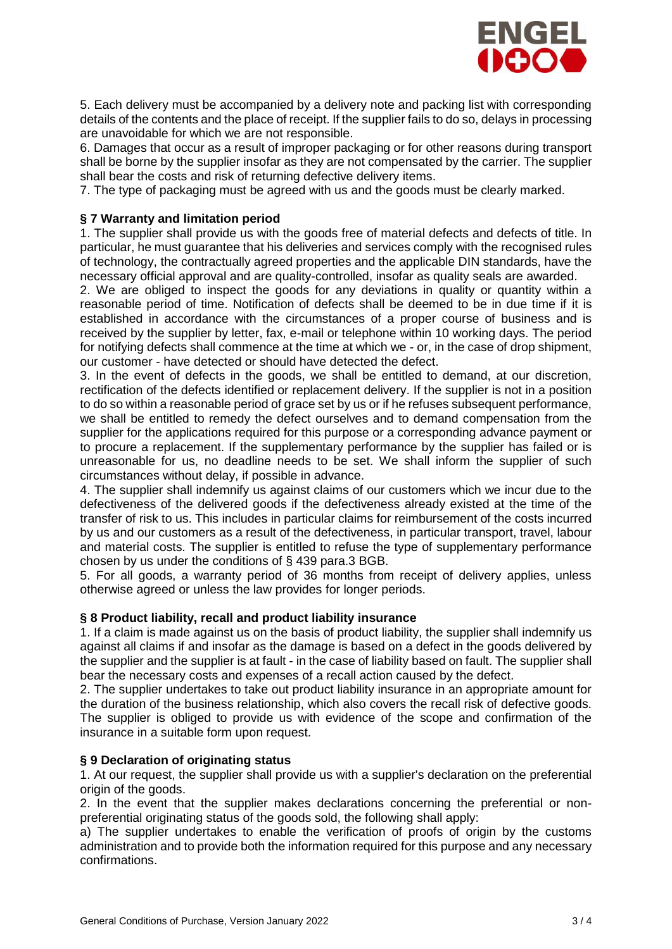

5. Each delivery must be accompanied by a delivery note and packing list with corresponding details of the contents and the place of receipt. If the supplier fails to do so, delays in processing are unavoidable for which we are not responsible.

6. Damages that occur as a result of improper packaging or for other reasons during transport shall be borne by the supplier insofar as they are not compensated by the carrier. The supplier shall bear the costs and risk of returning defective delivery items.

7. The type of packaging must be agreed with us and the goods must be clearly marked.

### **§ 7 Warranty and limitation period**

1. The supplier shall provide us with the goods free of material defects and defects of title. In particular, he must guarantee that his deliveries and services comply with the recognised rules of technology, the contractually agreed properties and the applicable DIN standards, have the necessary official approval and are quality-controlled, insofar as quality seals are awarded.

2. We are obliged to inspect the goods for any deviations in quality or quantity within a reasonable period of time. Notification of defects shall be deemed to be in due time if it is established in accordance with the circumstances of a proper course of business and is received by the supplier by letter, fax, e-mail or telephone within 10 working days. The period for notifying defects shall commence at the time at which we - or, in the case of drop shipment, our customer - have detected or should have detected the defect.

3. In the event of defects in the goods, we shall be entitled to demand, at our discretion, rectification of the defects identified or replacement delivery. If the supplier is not in a position to do so within a reasonable period of grace set by us or if he refuses subsequent performance. we shall be entitled to remedy the defect ourselves and to demand compensation from the supplier for the applications required for this purpose or a corresponding advance payment or to procure a replacement. If the supplementary performance by the supplier has failed or is unreasonable for us, no deadline needs to be set. We shall inform the supplier of such circumstances without delay, if possible in advance.

4. The supplier shall indemnify us against claims of our customers which we incur due to the defectiveness of the delivered goods if the defectiveness already existed at the time of the transfer of risk to us. This includes in particular claims for reimbursement of the costs incurred by us and our customers as a result of the defectiveness, in particular transport, travel, labour and material costs. The supplier is entitled to refuse the type of supplementary performance chosen by us under the conditions of § 439 para.3 BGB.

5. For all goods, a warranty period of 36 months from receipt of delivery applies, unless otherwise agreed or unless the law provides for longer periods.

#### **§ 8 Product liability, recall and product liability insurance**

1. If a claim is made against us on the basis of product liability, the supplier shall indemnify us against all claims if and insofar as the damage is based on a defect in the goods delivered by the supplier and the supplier is at fault - in the case of liability based on fault. The supplier shall bear the necessary costs and expenses of a recall action caused by the defect.

2. The supplier undertakes to take out product liability insurance in an appropriate amount for the duration of the business relationship, which also covers the recall risk of defective goods. The supplier is obliged to provide us with evidence of the scope and confirmation of the insurance in a suitable form upon request.

#### **§ 9 Declaration of originating status**

1. At our request, the supplier shall provide us with a supplier's declaration on the preferential origin of the goods.

2. In the event that the supplier makes declarations concerning the preferential or nonpreferential originating status of the goods sold, the following shall apply:

a) The supplier undertakes to enable the verification of proofs of origin by the customs administration and to provide both the information required for this purpose and any necessary confirmations.